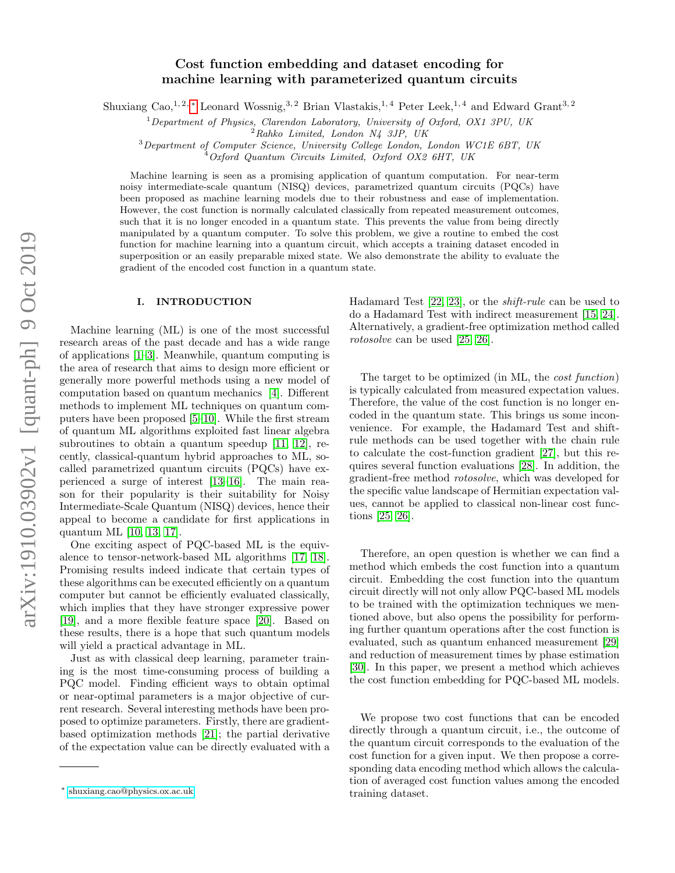# Cost function embedding and dataset encoding for machine learning with parameterized quantum circuits

Shuxiang Cao,<sup>1, 2, [∗](#page-0-0)</sup> Leonard Wossnig,<sup>3, 2</sup> Brian Vlastakis,<sup>1, 4</sup> Peter Leek,<sup>1, 4</sup> and Edward Grant<sup>3, 2</sup>

 $1$ Department of Physics, Clarendon Laboratory, University of Oxford, OX1 3PU, UK

 $^{2}Rahko$  Limited, London N4 3JP, UK

<sup>3</sup>Department of Computer Science, University College London, London WC1E 6BT, UK

 $^{4}$ Oxford Quantum Circuits Limited, Oxford OX2 6HT, UK

Machine learning is seen as a promising application of quantum computation. For near-term noisy intermediate-scale quantum (NISQ) devices, parametrized quantum circuits (PQCs) have been proposed as machine learning models due to their robustness and ease of implementation. However, the cost function is normally calculated classically from repeated measurement outcomes, such that it is no longer encoded in a quantum state. This prevents the value from being directly manipulated by a quantum computer. To solve this problem, we give a routine to embed the cost function for machine learning into a quantum circuit, which accepts a training dataset encoded in superposition or an easily preparable mixed state. We also demonstrate the ability to evaluate the gradient of the encoded cost function in a quantum state.

#### I. INTRODUCTION

Machine learning (ML) is one of the most successful research areas of the past decade and has a wide range of applications [\[1–](#page-4-0)[3\]](#page-4-1). Meanwhile, quantum computing is the area of research that aims to design more efficient or generally more powerful methods using a new model of computation based on quantum mechanics [\[4\]](#page-4-2). Different methods to implement ML techniques on quantum computers have been proposed [\[5](#page-4-3)[–10\]](#page-4-4). While the first stream of quantum ML algorithms exploited fast linear algebra subroutines to obtain a quantum speedup [\[11,](#page-5-0) [12\]](#page-5-1), recently, classical-quantum hybrid approaches to ML, socalled parametrized quantum circuits (PQCs) have experienced a surge of interest [\[13](#page-5-2)[–16\]](#page-5-3). The main reason for their popularity is their suitability for Noisy Intermediate-Scale Quantum (NISQ) devices, hence their appeal to become a candidate for first applications in quantum ML [\[10,](#page-4-4) [13,](#page-5-2) [17\]](#page-5-4).

One exciting aspect of PQC-based ML is the equivalence to tensor-network-based ML algorithms [\[17,](#page-5-4) [18\]](#page-5-5). Promising results indeed indicate that certain types of these algorithms can be executed efficiently on a quantum computer but cannot be efficiently evaluated classically, which implies that they have stronger expressive power [\[19\]](#page-5-6), and a more flexible feature space [\[20\]](#page-5-7). Based on these results, there is a hope that such quantum models will yield a practical advantage in ML.

Just as with classical deep learning, parameter training is the most time-consuming process of building a PQC model. Finding efficient ways to obtain optimal or near-optimal parameters is a major objective of current research. Several interesting methods have been proposed to optimize parameters. Firstly, there are gradientbased optimization methods [\[21\]](#page-5-8); the partial derivative of the expectation value can be directly evaluated with a Hadamard Test [\[22,](#page-5-9) [23\]](#page-5-10), or the shift-rule can be used to do a Hadamard Test with indirect measurement [\[15,](#page-5-11) [24\]](#page-5-12). Alternatively, a gradient-free optimization method called rotosolve can be used [\[25,](#page-5-13) [26\]](#page-5-14).

The target to be optimized (in ML, the cost function) is typically calculated from measured expectation values. Therefore, the value of the cost function is no longer encoded in the quantum state. This brings us some inconvenience. For example, the Hadamard Test and shiftrule methods can be used together with the chain rule to calculate the cost-function gradient [\[27\]](#page-5-15), but this requires several function evaluations [\[28\]](#page-5-16). In addition, the gradient-free method rotosolve, which was developed for the specific value landscape of Hermitian expectation values, cannot be applied to classical non-linear cost functions [\[25,](#page-5-13) [26\]](#page-5-14).

Therefore, an open question is whether we can find a method which embeds the cost function into a quantum circuit. Embedding the cost function into the quantum circuit directly will not only allow PQC-based ML models to be trained with the optimization techniques we mentioned above, but also opens the possibility for performing further quantum operations after the cost function is evaluated, such as quantum enhanced measurement [\[29\]](#page-5-17) and reduction of measurement times by phase estimation [\[30\]](#page-5-18). In this paper, we present a method which achieves the cost function embedding for PQC-based ML models.

We propose two cost functions that can be encoded directly through a quantum circuit, i.e., the outcome of the quantum circuit corresponds to the evaluation of the cost function for a given input. We then propose a corresponding data encoding method which allows the calculation of averaged cost function values among the encoded training dataset.

<span id="page-0-0"></span><sup>∗</sup> [shuxiang.cao@physics.ox.ac.uk](mailto:shuxiang.cao@physics.ox.ac.uk)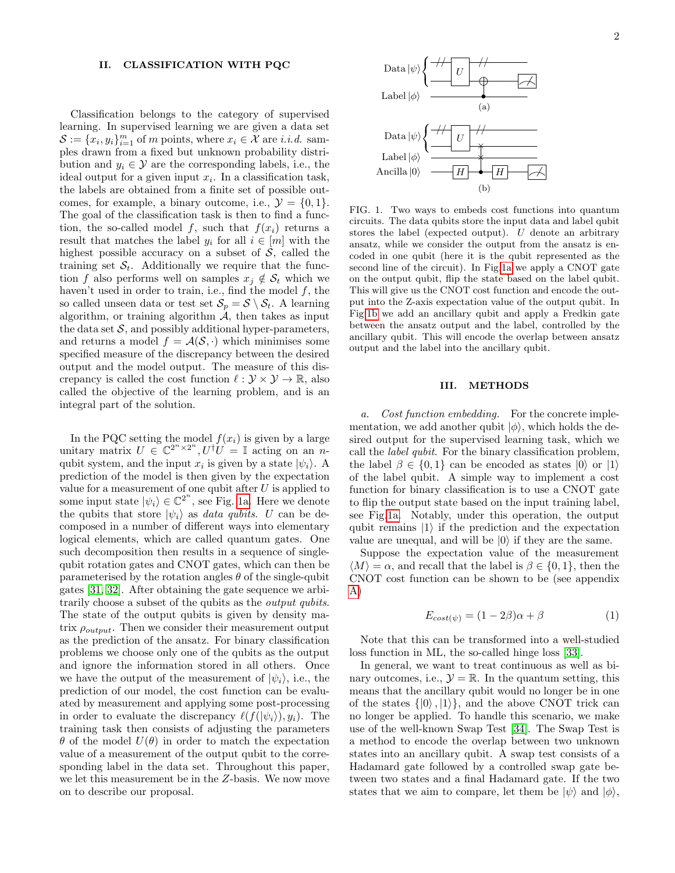### II. CLASSIFICATION WITH PQC

Classification belongs to the category of supervised learning. In supervised learning we are given a data set  $\mathcal{S} := \{x_i, y_i\}_{i=1}^m$  of m points, where  $x_i \in \mathcal{X}$  are *i.i.d.* samples drawn from a fixed but unknown probability distribution and  $y_i \in \mathcal{Y}$  are the corresponding labels, i.e., the ideal output for a given input  $x_i$ . In a classification task, the labels are obtained from a finite set of possible outcomes, for example, a binary outcome, i.e.,  $\mathcal{Y} = \{0, 1\}.$ The goal of the classification task is then to find a function, the so-called model f, such that  $f(x_i)$  returns a result that matches the label  $y_i$  for all  $i \in [m]$  with the highest possible accuracy on a subset of  $S$ , called the training set  $S_t$ . Additionally we require that the function f also performs well on samples  $x_i \notin \mathcal{S}_t$  which we haven't used in order to train, i.e., find the model  $f$ , the so called unseen data or test set  $S_p = S \setminus S_t$ . A learning algorithm, or training algorithm  $A$ , then takes as input the data set  $S$ , and possibly additional hyper-parameters, and returns a model  $f = A(S, \cdot)$  which minimises some specified measure of the discrepancy between the desired output and the model output. The measure of this discrepancy is called the cost function  $\ell : \mathcal{Y} \times \mathcal{Y} \to \mathbb{R}$ , also called the objective of the learning problem, and is an integral part of the solution.

In the PQC setting the model  $f(x_i)$  is given by a large unitary matrix  $U \in \mathbb{C}^{2^n \times 2^n}$ ,  $U^{\dagger}U = \mathbb{I}$  acting on an nqubit system, and the input  $x_i$  is given by a state  $|\psi_i\rangle$ . A prediction of the model is then given by the expectation value for a measurement of one qubit after  $U$  is applied to some input state  $|\psi_i\rangle \in \mathbb{C}^{2^n}$ , see Fig. [1a.](#page-1-0) Here we denote the qubits that store  $|\psi_i\rangle$  as *data qubits.* U can be decomposed in a number of different ways into elementary logical elements, which are called quantum gates. One such decomposition then results in a sequence of singlequbit rotation gates and CNOT gates, which can then be parameterised by the rotation angles  $\theta$  of the single-qubit gates [\[31,](#page-5-19) [32\]](#page-5-20). After obtaining the gate sequence we arbitrarily choose a subset of the qubits as the *output qubits*. The state of the output qubits is given by density matrix  $\rho_{output}$ . Then we consider their measurement output as the prediction of the ansatz. For binary classification problems we choose only one of the qubits as the output and ignore the information stored in all others. Once we have the output of the measurement of  $|\psi_i\rangle$ , i.e., the prediction of our model, the cost function can be evaluated by measurement and applying some post-processing in order to evaluate the discrepancy  $\ell(f(|\psi_i\rangle), y_i)$ . The training task then consists of adjusting the parameters  $\theta$  of the model  $U(\theta)$  in order to match the expectation value of a measurement of the output qubit to the corresponding label in the data set. Throughout this paper, we let this measurement be in the Z-basis. We now move on to describe our proposal.

<span id="page-1-1"></span><span id="page-1-0"></span>

FIG. 1. Two ways to embeds cost functions into quantum circuits. The data qubits store the input data and label qubit stores the label (expected output). U denote an arbitrary ansatz, while we consider the output from the ansatz is encoded in one qubit (here it is the qubit represented as the second line of the circuit). In Fig[.1a](#page-1-0) we apply a CNOT gate on the output qubit, flip the state based on the label qubit. This will give us the CNOT cost function and encode the output into the Z-axis expectation value of the output qubit. In Fig[.1b](#page-1-1) we add an ancillary qubit and apply a Fredkin gate between the ansatz output and the label, controlled by the ancillary qubit. This will encode the overlap between ansatz output and the label into the ancillary qubit.

#### III. METHODS

a. Cost function embedding. For the concrete implementation, we add another qubit  $|\phi\rangle$ , which holds the desired output for the supervised learning task, which we call the label qubit. For the binary classification problem, the label  $\beta \in \{0,1\}$  can be encoded as states  $|0\rangle$  or  $|1\rangle$ of the label qubit. A simple way to implement a cost function for binary classification is to use a CNOT gate to flip the output state based on the input training label, see Fig[.1a.](#page-1-0) Notably, under this operation, the output qubit remains  $|1\rangle$  if the prediction and the expectation value are unequal, and will be  $|0\rangle$  if they are the same.

Suppose the expectation value of the measurement  $\langle M \rangle = \alpha$ , and recall that the label is  $\beta \in \{0, 1\}$ , then the CNOT cost function can be shown to be (see appendix [A\)](#page-6-0)

$$
E_{cost(\psi)} = (1 - 2\beta)\alpha + \beta \tag{1}
$$

Note that this can be transformed into a well-studied loss function in ML, the so-called hinge loss [\[33\]](#page-5-21).

In general, we want to treat continuous as well as binary outcomes, i.e.,  $\mathcal{Y} = \mathbb{R}$ . In the quantum setting, this means that the ancillary qubit would no longer be in one of the states  $\{|0\rangle, |1\rangle\}$ , and the above CNOT trick can no longer be applied. To handle this scenario, we make use of the well-known Swap Test [\[34\]](#page-5-22). The Swap Test is a method to encode the overlap between two unknown states into an ancillary qubit. A swap test consists of a Hadamard gate followed by a controlled swap gate between two states and a final Hadamard gate. If the two states that we aim to compare, let them be  $|\psi\rangle$  and  $|\phi\rangle$ ,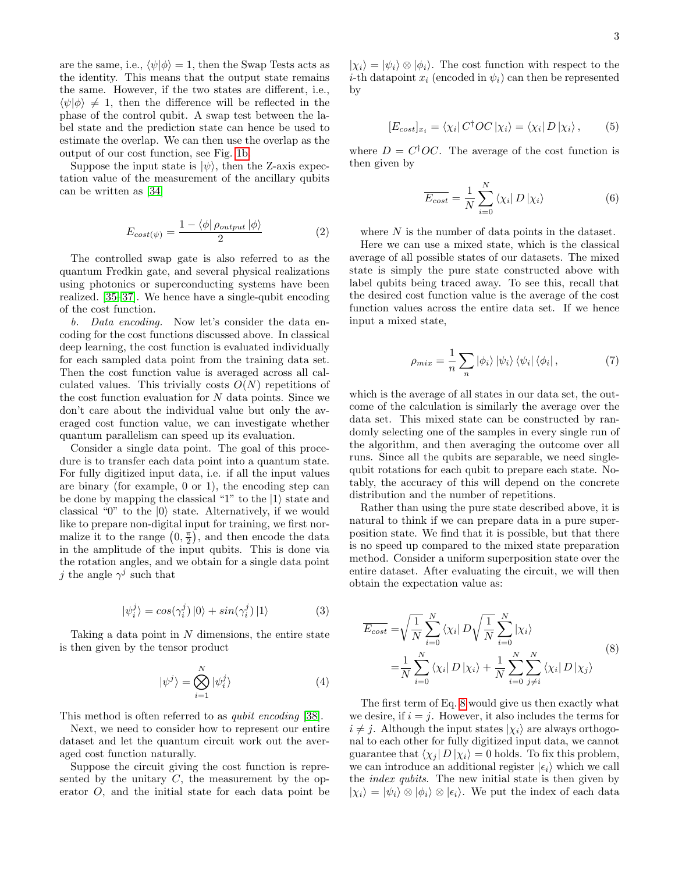are the same, i.e.,  $\langle \psi | \phi \rangle = 1$ , then the Swap Tests acts as the identity. This means that the output state remains the same. However, if the two states are different, i.e.,  $\langle \psi | \phi \rangle \neq 1$ , then the difference will be reflected in the phase of the control qubit. A swap test between the label state and the prediction state can hence be used to estimate the overlap. We can then use the overlap as the output of our cost function, see Fig. [1b.](#page-1-1)

Suppose the input state is  $|\psi\rangle$ , then the Z-axis expectation value of the measurement of the ancillary qubits can be written as [\[34\]](#page-5-22)

$$
E_{cost(\psi)} = \frac{1 - \langle \phi | \rho_{output} | \phi \rangle}{2} \tag{2}
$$

The controlled swap gate is also referred to as the quantum Fredkin gate, and several physical realizations using photonics or superconducting systems have been realized. [\[35–](#page-5-23)[37\]](#page-5-24). We hence have a single-qubit encoding of the cost function.

b. Data encoding. Now let's consider the data encoding for the cost functions discussed above. In classical deep learning, the cost function is evaluated individually for each sampled data point from the training data set. Then the cost function value is averaged across all calculated values. This trivially costs  $O(N)$  repetitions of the cost function evaluation for  $N$  data points. Since we don't care about the individual value but only the averaged cost function value, we can investigate whether quantum parallelism can speed up its evaluation.

Consider a single data point. The goal of this procedure is to transfer each data point into a quantum state. For fully digitized input data, i.e. if all the input values are binary (for example, 0 or 1), the encoding step can be done by mapping the classical "1" to the  $|1\rangle$  state and classical "0" to the  $|0\rangle$  state. Alternatively, if we would like to prepare non-digital input for training, we first normalize it to the range  $(0, \frac{\pi}{2})$ , and then encode the data in the amplitude of the input qubits. This is done via the rotation angles, and we obtain for a single data point j the angle  $\gamma^j$  such that

$$
|\psi_i^j\rangle = \cos(\gamma_i^j) |0\rangle + \sin(\gamma_i^j) |1\rangle \tag{3}
$$

Taking a data point in  $N$  dimensions, the entire state is then given by the tensor product

$$
|\psi^j\rangle = \bigotimes_{i=1}^N |\psi_i^j\rangle \tag{4}
$$

This method is often referred to as qubit encoding [\[38\]](#page-5-25).

Next, we need to consider how to represent our entire dataset and let the quantum circuit work out the averaged cost function naturally.

Suppose the circuit giving the cost function is represented by the unitary  $C$ , the measurement by the operator O, and the initial state for each data point be

 $|\chi_i\rangle = |\psi_i\rangle \otimes |\phi_i\rangle$ . The cost function with respect to the *i*-th datapoint  $x_i$  (encoded in  $\psi_i$ ) can then be represented by

$$
[E_{cost}]_{x_i} = \langle \chi_i | C^\dagger OC | \chi_i \rangle = \langle \chi_i | D | \chi_i \rangle, \qquad (5)
$$

where  $D = C^{\dagger}OC$ . The average of the cost function is then given by

$$
\overline{E_{cost}} = \frac{1}{N} \sum_{i=0}^{N} \langle \chi_i | D | \chi_i \rangle \tag{6}
$$

where N is the number of data points in the dataset.

Here we can use a mixed state, which is the classical average of all possible states of our datasets. The mixed state is simply the pure state constructed above with label qubits being traced away. To see this, recall that the desired cost function value is the average of the cost function values across the entire data set. If we hence input a mixed state,

<span id="page-2-1"></span>
$$
\rho_{mix} = \frac{1}{n} \sum_{n} |\phi_i\rangle |\psi_i\rangle \langle \psi_i| |\phi_i| \,, \tag{7}
$$

which is the average of all states in our data set, the outcome of the calculation is similarly the average over the data set. This mixed state can be constructed by randomly selecting one of the samples in every single run of the algorithm, and then averaging the outcome over all runs. Since all the qubits are separable, we need singlequbit rotations for each qubit to prepare each state. Notably, the accuracy of this will depend on the concrete distribution and the number of repetitions.

Rather than using the pure state described above, it is natural to think if we can prepare data in a pure superposition state. We find that it is possible, but that there is no speed up compared to the mixed state preparation method. Consider a uniform superposition state over the entire dataset. After evaluating the circuit, we will then obtain the expectation value as:

<span id="page-2-0"></span>
$$
\overline{E_{cost}} = \sqrt{\frac{1}{N}} \sum_{i=0}^{N} \langle \chi_i | D \sqrt{\frac{1}{N}} \sum_{i=0}^{N} | \chi_i \rangle
$$
\n
$$
= \frac{1}{N} \sum_{i=0}^{N} \langle \chi_i | D | \chi_i \rangle + \frac{1}{N} \sum_{i=0}^{N} \sum_{j \neq i}^{N} \langle \chi_i | D | \chi_j \rangle
$$
\n(8)

The first term of Eq. [8](#page-2-0) would give us then exactly what we desire, if  $i = j$ . However, it also includes the terms for  $i \neq j$ . Although the input states  $|\chi_i\rangle$  are always orthogonal to each other for fully digitized input data, we cannot guarantee that  $\langle \chi_i | D | \chi_i \rangle = 0$  holds. To fix this problem, we can introduce an additional register  $|\epsilon_i\rangle$  which we call the index qubits. The new initial state is then given by  $|\chi_i\rangle = |\psi_i\rangle \otimes |\phi_i\rangle \otimes |\epsilon_i\rangle$ . We put the index of each data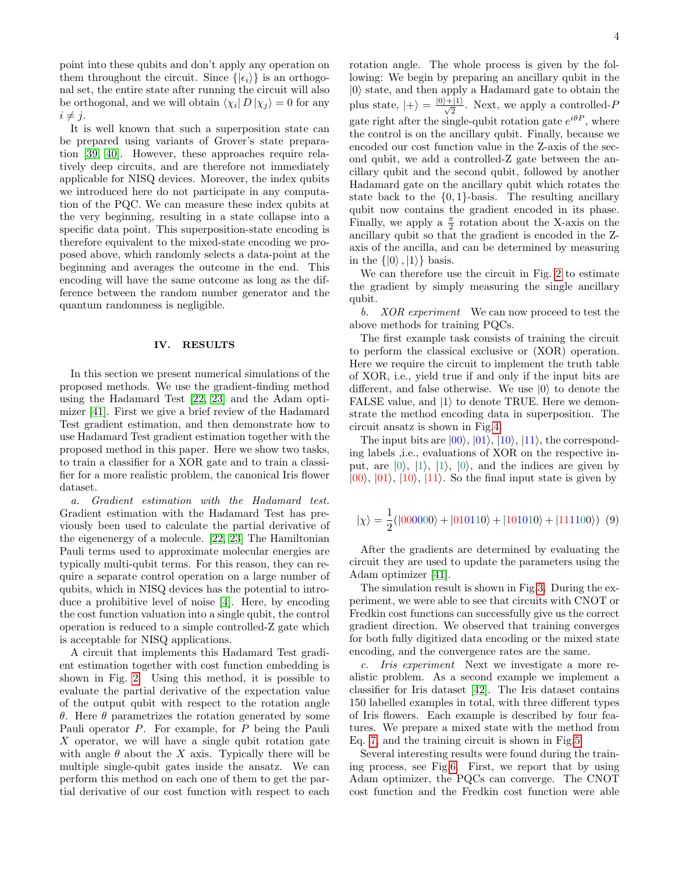point into these qubits and don't apply any operation on them throughout the circuit. Since  $\{|\epsilon_i\rangle\}$  is an orthogonal set, the entire state after running the circuit will also be orthogonal, and we will obtain  $\langle \chi_i | D | \chi_j \rangle = 0$  for any  $i \neq j$ .

It is well known that such a superposition state can be prepared using variants of Grover's state preparation [\[39,](#page-5-26) [40\]](#page-5-27). However, these approaches require relatively deep circuits, and are therefore not immediately applicable for NISQ devices. Moreover, the index qubits we introduced here do not participate in any computation of the PQC. We can measure these index qubits at the very beginning, resulting in a state collapse into a specific data point. This superposition-state encoding is therefore equivalent to the mixed-state encoding we proposed above, which randomly selects a data-point at the beginning and averages the outcome in the end. This encoding will have the same outcome as long as the difference between the random number generator and the quantum randomness is negligible.

## IV. RESULTS

In this section we present numerical simulations of the proposed methods. We use the gradient-finding method using the Hadamard Test [\[22,](#page-5-9) [23\]](#page-5-10) and the Adam optimizer [\[41\]](#page-5-28). First we give a brief review of the Hadamard Test gradient estimation, and then demonstrate how to use Hadamard Test gradient estimation together with the proposed method in this paper. Here we show two tasks, to train a classifier for a XOR gate and to train a classifier for a more realistic problem, the canonical Iris flower dataset.

a. Gradient estimation with the Hadamard test. Gradient estimation with the Hadamard Test has previously been used to calculate the partial derivative of the eigenenergy of a molecule. [\[22,](#page-5-9) [23\]](#page-5-10) The Hamiltonian Pauli terms used to approximate molecular energies are typically multi-qubit terms. For this reason, they can require a separate control operation on a large number of qubits, which in NISQ devices has the potential to introduce a prohibitive level of noise [\[4\]](#page-4-2). Here, by encoding the cost function valuation into a single qubit, the control operation is reduced to a simple controlled-Z gate which is acceptable for NISQ applications.

A circuit that implements this Hadamard Test gradient estimation together with cost function embedding is shown in Fig. [2.](#page-7-0) Using this method, it is possible to evaluate the partial derivative of the expectation value of the output qubit with respect to the rotation angle θ. Here θ parametrizes the rotation generated by some Pauli operator P. For example, for P being the Pauli X operator, we will have a single qubit rotation gate with angle  $\theta$  about the X axis. Typically there will be multiple single-qubit gates inside the ansatz. We can perform this method on each one of them to get the partial derivative of our cost function with respect to each rotation angle. The whole process is given by the following: We begin by preparing an ancillary qubit in the  $|0\rangle$  state, and then apply a Hadamard gate to obtain the plus state,  $|+\rangle = \frac{|0\rangle + |1\rangle}{\sqrt{2}}$ . Next, we apply a controlled-P gate right after the single-qubit rotation gate  $e^{i\theta P}$ , where the control is on the ancillary qubit. Finally, because we encoded our cost function value in the Z-axis of the second qubit, we add a controlled-Z gate between the ancillary qubit and the second qubit, followed by another Hadamard gate on the ancillary qubit which rotates the state back to the  $\{0,1\}$ -basis. The resulting ancillary qubit now contains the gradient encoded in its phase. Finally, we apply a  $\frac{\pi}{2}$  rotation about the X-axis on the ancillary qubit so that the gradient is encoded in the Zaxis of the ancilla, and can be determined by measuring in the  $\{|0\rangle, |1\rangle\}$  basis.

We can therefore use the circuit in Fig. [2](#page-7-0) to estimate the gradient by simply measuring the single ancillary qubit.

b. XOR experiment We can now proceed to test the above methods for training PQCs.

The first example task consists of training the circuit to perform the classical exclusive or (XOR) operation. Here we require the circuit to implement the truth table of XOR, i.e., yield true if and only if the input bits are different, and false otherwise. We use  $|0\rangle$  to denote the FALSE value, and  $|1\rangle$  to denote TRUE. Here we demonstrate the method encoding data in superposition. The circuit ansatz is shown in Fig[.4.](#page-7-1)

The input bits are  $|00\rangle$ ,  $|01\rangle$ ,  $|10\rangle$ ,  $|11\rangle$ , the corresponding labels ,i.e., evaluations of XOR on the respective input, are  $|0\rangle$ ,  $|1\rangle$ ,  $|1\rangle$ ,  $|0\rangle$ , and the indices are given by  $|00\rangle$ ,  $|01\rangle$ ,  $|10\rangle$ ,  $|11\rangle$ . So the final input state is given by

<span id="page-3-0"></span>
$$
|\chi\rangle = \frac{1}{2}(|000000\rangle + |010110\rangle + |101010\rangle + |111100\rangle)
$$
 (9)

After the gradients are determined by evaluating the circuit they are used to update the parameters using the Adam optimizer [\[41\]](#page-5-28).

The simulation result is shown in Fig[.3.](#page-7-2) During the experiment, we were able to see that circuits with CNOT or Fredkin cost functions can successfully give us the correct gradient direction. We observed that training converges for both fully digitized data encoding or the mixed state encoding, and the convergence rates are the same.

c. Iris experiment Next we investigate a more realistic problem. As a second example we implement a classifier for Iris dataset [\[42\]](#page-5-29). The Iris dataset contains 150 labelled examples in total, with three different types of Iris flowers. Each example is described by four features. We prepare a mixed state with the method from Eq. [7,](#page-2-1) and the training circuit is shown in Fig[.5.](#page-8-0)

Several interesting results were found during the training process, see Fig[.6.](#page-8-1) First, we report that by using Adam optimizer, the PQCs can converge. The CNOT cost function and the Fredkin cost function were able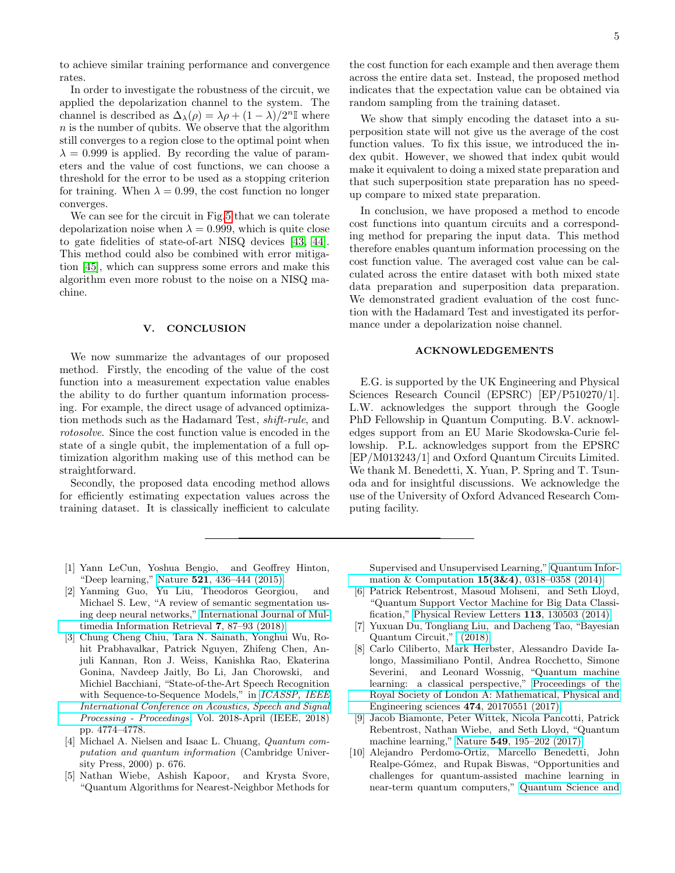to achieve similar training performance and convergence rates.

In order to investigate the robustness of the circuit, we applied the depolarization channel to the system. The channel is described as  $\Delta_{\lambda}(\rho) = \lambda \rho + (1 - \lambda)/2^{n} \mathbb{I}$  where  $n$  is the number of qubits. We observe that the algorithm still converges to a region close to the optimal point when  $\lambda = 0.999$  is applied. By recording the value of parameters and the value of cost functions, we can choose a threshold for the error to be used as a stopping criterion for training. When  $\lambda = 0.99$ , the cost function no longer converges.

We can see for the circuit in Fig[.5](#page-8-0) that we can tolerate depolarization noise when  $\lambda = 0.999$ , which is quite close to gate fidelities of state-of-art NISQ devices [\[43,](#page-5-30) [44\]](#page-6-1). This method could also be combined with error mitigation [\[45\]](#page-6-2), which can suppress some errors and make this algorithm even more robust to the noise on a NISQ machine.

## V. CONCLUSION

We now summarize the advantages of our proposed method. Firstly, the encoding of the value of the cost function into a measurement expectation value enables the ability to do further quantum information processing. For example, the direct usage of advanced optimization methods such as the Hadamard Test, shift-rule, and rotosolve. Since the cost function value is encoded in the state of a single qubit, the implementation of a full optimization algorithm making use of this method can be straightforward.

Secondly, the proposed data encoding method allows for efficiently estimating expectation values across the training dataset. It is classically inefficient to calculate

the cost function for each example and then average them across the entire data set. Instead, the proposed method indicates that the expectation value can be obtained via random sampling from the training dataset.

We show that simply encoding the dataset into a superposition state will not give us the average of the cost function values. To fix this issue, we introduced the index qubit. However, we showed that index qubit would make it equivalent to doing a mixed state preparation and that such superposition state preparation has no speedup compare to mixed state preparation.

In conclusion, we have proposed a method to encode cost functions into quantum circuits and a corresponding method for preparing the input data. This method therefore enables quantum information processing on the cost function value. The averaged cost value can be calculated across the entire dataset with both mixed state data preparation and superposition data preparation. We demonstrated gradient evaluation of the cost function with the Hadamard Test and investigated its performance under a depolarization noise channel.

# ACKNOWLEDGEMENTS

E.G. is supported by the UK Engineering and Physical Sciences Research Council (EPSRC) [EP/P510270/1]. L.W. acknowledges the support through the Google PhD Fellowship in Quantum Computing. B.V. acknowledges support from an EU Marie Skodowska-Curie fellowship. P.L. acknowledges support from the EPSRC [EP/M013243/1] and Oxford Quantum Circuits Limited. We thank M. Benedetti, X. Yuan, P. Spring and T. Tsunoda and for insightful discussions. We acknowledge the use of the University of Oxford Advanced Research Computing facility.

- <span id="page-4-0"></span>[1] Yann LeCun, Yoshua Bengio, and Geoffrey Hinton, "Deep learning," Nature 521[, 436–444 \(2015\).](http://dx.doi.org/10.1038/nature14539)
- [2] Yanming Guo, Yu Liu, Theodoros Georgiou, and Michael S. Lew, "A review of semantic segmentation using deep neural networks," [International Journal of Mul](http://dx.doi.org/ 10.1007/s13735-017-0141-z)[timedia Information Retrieval](http://dx.doi.org/ 10.1007/s13735-017-0141-z) 7, 87–93 (2018).
- <span id="page-4-1"></span>[3] Chung Cheng Chiu, Tara N. Sainath, Yonghui Wu, Rohit Prabhavalkar, Patrick Nguyen, Zhifeng Chen, Anjuli Kannan, Ron J. Weiss, Kanishka Rao, Ekaterina Gonina, Navdeep Jaitly, Bo Li, Jan Chorowski, and Michiel Bacchiani, "State-of-the-Art Speech Recognition with Sequence-to-Sequence Models," in *ICASSP*, *IEEE* [International Conference on Acoustics, Speech and Signal](http://dx.doi.org/ 10.1109/ICASSP.2018.8462105) [Processing - Proceedings](http://dx.doi.org/ 10.1109/ICASSP.2018.8462105), Vol. 2018-April (IEEE, 2018) pp. 4774–4778.
- <span id="page-4-2"></span>[4] Michael A. Nielsen and Isaac L. Chuang, Quantum computation and quantum information (Cambridge University Press, 2000) p. 676.
- <span id="page-4-3"></span>[5] Nathan Wiebe, Ashish Kapoor, and Krysta Svore, "Quantum Algorithms for Nearest-Neighbor Methods for

Supervised and Unsupervised Learning," [Quantum Infor](http://arxiv.org/abs/1401.2142)[mation & Computation](http://arxiv.org/abs/1401.2142) 15(3&4), 0318–0358 (2014).

- [6] Patrick Rebentrost, Masoud Mohseni, and Seth Lloyd, "Quantum Support Vector Machine for Big Data Classification," [Physical Review Letters](http://dx.doi.org/ 10.1103/PhysRevLett.113.130503) 113, 130503 (2014).
- [7] Yuxuan Du, Tongliang Liu, and Dacheng Tao, "Bayesian Quantum Circuit," [\(2018\).](http://arxiv.org/abs/1805.11089)
- [8] Carlo Ciliberto, Mark Herbster, Alessandro Davide Ialongo, Massimiliano Pontil, Andrea Rocchetto, Simone Severini, and Leonard Wossnig, "Quantum machine learning: a classical perspective," [Proceedings of the](http://dx.doi.org/ 10.1098/rspa.2017.0551) [Royal Society of London A: Mathematical, Physical and](http://dx.doi.org/ 10.1098/rspa.2017.0551) [Engineering sciences](http://dx.doi.org/ 10.1098/rspa.2017.0551) 474, 20170551 (2017).
- [9] Jacob Biamonte, Peter Wittek, Nicola Pancotti, Patrick Rebentrost, Nathan Wiebe, and Seth Lloyd, "Quantum machine learning," Nature 549[, 195–202 \(2017\).](http://dx.doi.org/10.1038/nature23474)
- <span id="page-4-4"></span>[10] Alejandro Perdomo-Ortiz, Marcello Benedetti, John Realpe-G´omez, and Rupak Biswas, "Opportunities and challenges for quantum-assisted machine learning in near-term quantum computers," [Quantum Science and](http://dx.doi.org/ 10.1088/2058-9565/aab859)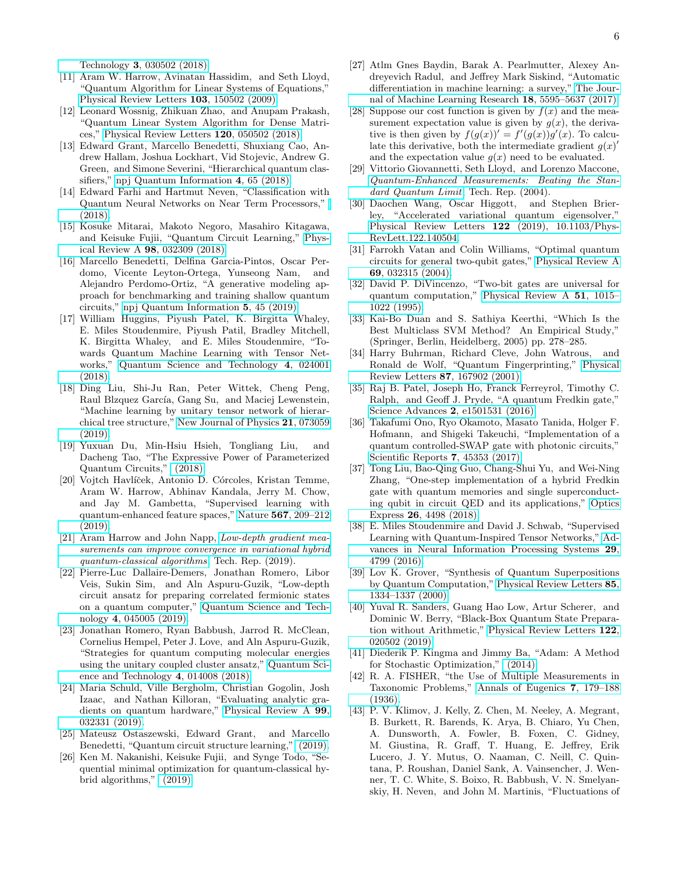Technology 3[, 030502 \(2018\).](http://dx.doi.org/ 10.1088/2058-9565/aab859)

- <span id="page-5-0"></span>[11] Aram W. Harrow, Avinatan Hassidim, and Seth Lloyd, "Quantum Algorithm for Linear Systems of Equations," [Physical Review Letters](http://dx.doi.org/ 10.1103/PhysRevLett.103.150502) 103, 150502 (2009).
- <span id="page-5-1"></span>[12] Leonard Wossnig, Zhikuan Zhao, and Anupam Prakash, "Quantum Linear System Algorithm for Dense Matrices," [Physical Review Letters](http://dx.doi.org/ 10.1103/PhysRevLett.120.050502) 120, 050502 (2018).
- <span id="page-5-2"></span>[13] Edward Grant, Marcello Benedetti, Shuxiang Cao, Andrew Hallam, Joshua Lockhart, Vid Stojevic, Andrew G. Green, and Simone Severini, "Hierarchical quantum classifiers," [npj Quantum Information](http://dx.doi.org/10.1038/s41534-018-0116-9) 4, 65 (2018).
- [14] Edward Farhi and Hartmut Neven, "Classification with Quantum Neural Networks on Near Term Processors," [\(2018\).](http://arxiv.org/abs/1802.06002)
- <span id="page-5-11"></span>[15] Kosuke Mitarai, Makoto Negoro, Masahiro Kitagawa, and Keisuke Fujii, "Quantum Circuit Learning," [Phys](http://dx.doi.org/10.1103/PhysRevA.98.032309)ical Review A 98[, 032309 \(2018\).](http://dx.doi.org/10.1103/PhysRevA.98.032309)
- <span id="page-5-3"></span>[16] Marcello Benedetti, Delfina Garcia-Pintos, Oscar Perdomo, Vicente Leyton-Ortega, Yunseong Nam, and Alejandro Perdomo-Ortiz, "A generative modeling approach for benchmarking and training shallow quantum circuits," [npj Quantum Information](http://dx.doi.org/10.1038/s41534-019-0157-8) 5, 45 (2019).
- <span id="page-5-4"></span>[17] William Huggins, Piyush Patel, K. Birgitta Whaley, E. Miles Stoudenmire, Piyush Patil, Bradley Mitchell, K. Birgitta Whaley, and E. Miles Stoudenmire, "Towards Quantum Machine Learning with Tensor Networks," [Quantum Science and Technology](http://dx.doi.org/10.1088/2058-9565/aaea94) 4, 024001 [\(2018\).](http://dx.doi.org/10.1088/2058-9565/aaea94)
- <span id="page-5-5"></span>[18] Ding Liu, Shi-Ju Ran, Peter Wittek, Cheng Peng, Raul Blzquez García, Gang Su, and Maciej Lewenstein, "Machine learning by unitary tensor network of hierarchical tree structure," [New Journal of Physics](http://dx.doi.org/10.1088/1367-2630/ab31ef) 21, 073059  $(2019)$ .
- <span id="page-5-6"></span>[19] Yuxuan Du, Min-Hsiu Hsieh, Tongliang Liu, and Dacheng Tao, "The Expressive Power of Parameterized Quantum Circuits," [\(2018\).](http://arxiv.org/abs/1810.11922)
- <span id="page-5-7"></span>[20] Vojtch Havlíček, Antonio D. Córcoles, Kristan Temme, Aram W. Harrow, Abhinav Kandala, Jerry M. Chow, and Jay M. Gambetta, "Supervised learning with quantum-enhanced feature spaces," Nature 567[, 209–212](http://dx.doi.org/10.1038/s41586-019-0980-2) [\(2019\).](http://dx.doi.org/10.1038/s41586-019-0980-2)
- <span id="page-5-8"></span>[21] Aram Harrow and John Napp, [Low-depth gradient mea](https://arxiv.org/pdf/1901.05374.pdf)[surements can improve convergence in variational hybrid](https://arxiv.org/pdf/1901.05374.pdf) [quantum-classical algorithms](https://arxiv.org/pdf/1901.05374.pdf), Tech. Rep. (2019).
- <span id="page-5-9"></span>[22] Pierre-Luc Dallaire-Demers, Jonathan Romero, Libor Veis, Sukin Sim, and Aln Aspuru-Guzik, "Low-depth circuit ansatz for preparing correlated fermionic states on a quantum computer," [Quantum Science and Tech](http://dx.doi.org/10.1088/2058-9565/ab3951)nology 4[, 045005 \(2019\).](http://dx.doi.org/10.1088/2058-9565/ab3951)
- <span id="page-5-10"></span>[23] Jonathan Romero, Ryan Babbush, Jarrod R. McClean, Cornelius Hempel, Peter J. Love, and Aln Aspuru-Guzik, "Strategies for quantum computing molecular energies using the unitary coupled cluster ansatz," [Quantum Sci](http://dx.doi.org/10.1088/2058-9565/aad3e4)[ence and Technology](http://dx.doi.org/10.1088/2058-9565/aad3e4) 4, 014008 (2018).
- <span id="page-5-12"></span>[24] Maria Schuld, Ville Bergholm, Christian Gogolin, Josh Izaac, and Nathan Killoran, "Evaluating analytic gradients on quantum hardware," [Physical Review A](http://dx.doi.org/ 10.1103/PhysRevA.99.032331) 99, [032331 \(2019\).](http://dx.doi.org/ 10.1103/PhysRevA.99.032331)
- <span id="page-5-13"></span>[25] Mateusz Ostaszewski, Edward Grant, and Marcello Benedetti, "Quantum circuit structure learning," [\(2019\).](https://arxiv.org/pdf/1905.09692.pdf http://arxiv.org/abs/1905.09692)
- <span id="page-5-14"></span>[26] Ken M. Nakanishi, Keisuke Fujii, and Synge Todo, "Sequential minimal optimization for quantum-classical hybrid algorithms," [\(2019\).](http://arxiv.org/abs/1903.12166)
- <span id="page-5-15"></span>[27] Atlm Gnes Baydin, Barak A. Pearlmutter, Alexey Andreyevich Radul, and Jeffrey Mark Siskind, "Automatic differentiation in machine learning: a survey," [The Jour](https://dl.acm.org/citation.cfm?id=3122009.3242010)[nal of Machine Learning Research](https://dl.acm.org/citation.cfm?id=3122009.3242010) 18, 5595–5637 (2017).
- <span id="page-5-16"></span>[28] Suppose our cost function is given by  $f(x)$  and the measurement expectation value is given by  $g(x)$ , the derivative is then given by  $f(g(x))' = f'(g(x))g'(x)$ . To calculate this derivative, both the intermediate gradient  $g(x)$ ' and the expectation value  $q(x)$  need to be evaluated.
- <span id="page-5-17"></span>[29] Vittorio Giovannetti, Seth Lloyd, and Lorenzo Maccone, [Quantum-Enhanced Measurements: Beating the Stan](https://arxiv.org/pdf/quant-ph/0412078.pdf)[dard Quantum Limit](https://arxiv.org/pdf/quant-ph/0412078.pdf), Tech. Rep.  $(2004)$ .
- <span id="page-5-18"></span>[30] Daochen Wang, Oscar Higgott, and Stephen Brierley, "Accelerated variational quantum eigensolver," [Physical Review Letters](http://dx.doi.org/10.1103/PhysRevLett.122.140504) 122 (2019), 10.1103/Phys-[RevLett.122.140504.](http://dx.doi.org/10.1103/PhysRevLett.122.140504)
- <span id="page-5-19"></span>[31] Farrokh Vatan and Colin Williams, "Optimal quantum circuits for general two-qubit gates," [Physical Review A](http://dx.doi.org/ 10.1103/PhysRevA.69.032315) 69[, 032315 \(2004\).](http://dx.doi.org/ 10.1103/PhysRevA.69.032315)
- <span id="page-5-20"></span>[32] David P. DiVincenzo, "Two-bit gates are universal for quantum computation," [Physical Review A](http://dx.doi.org/ 10.1103/PhysRevA.51.1015) 51, 1015– [1022 \(1995\).](http://dx.doi.org/ 10.1103/PhysRevA.51.1015)
- <span id="page-5-21"></span>[33] Kai-Bo Duan and S. Sathiya Keerthi, "Which Is the Best Multiclass SVM Method? An Empirical Study," (Springer, Berlin, Heidelberg, 2005) pp. 278–285.
- <span id="page-5-22"></span>[34] Harry Buhrman, Richard Cleve, John Watrous, and Ronald de Wolf, "Quantum Fingerprinting," [Physical](http://dx.doi.org/10.1103/PhysRevLett.87.167902) Review Letters 87[, 167902 \(2001\).](http://dx.doi.org/10.1103/PhysRevLett.87.167902)
- <span id="page-5-23"></span>[35] Raj B. Patel, Joseph Ho, Franck Ferreyrol, Timothy C. Ralph, and Geoff J. Pryde, "A quantum Fredkin gate," Science Advances 2[, e1501531 \(2016\).](http://dx.doi.org/10.1126/sciadv.1501531)
- [36] Takafumi Ono, Ryo Okamoto, Masato Tanida, Holger F. Hofmann, and Shigeki Takeuchi, "Implementation of a quantum controlled-SWAP gate with photonic circuits," [Scientific Reports](http://dx.doi.org/10.1038/srep45353) 7, 45353 (2017).
- <span id="page-5-24"></span>[37] Tong Liu, Bao-Qing Guo, Chang-Shui Yu, and Wei-Ning Zhang, "One-step implementation of a hybrid Fredkin gate with quantum memories and single superconducting qubit in circuit QED and its applications," [Optics](http://dx.doi.org/ 10.1364/OE.26.004498) Express 26[, 4498 \(2018\).](http://dx.doi.org/ 10.1364/OE.26.004498)
- <span id="page-5-25"></span>[38] E. Miles Stoudenmire and David J. Schwab, "Supervised Learning with Quantum-Inspired Tensor Networks," [Ad](http://arxiv.org/abs/1605.05775)[vances in Neural Information Processing Systems](http://arxiv.org/abs/1605.05775) 29, [4799 \(2016\).](http://arxiv.org/abs/1605.05775)
- <span id="page-5-26"></span>[39] Lov K. Grover, "Synthesis of Quantum Superpositions by Quantum Computation," [Physical Review Letters](http://dx.doi.org/ 10.1103/PhysRevLett.85.1334) 85, [1334–1337 \(2000\).](http://dx.doi.org/ 10.1103/PhysRevLett.85.1334)
- <span id="page-5-27"></span>[40] Yuval R. Sanders, Guang Hao Low, Artur Scherer, and Dominic W. Berry, "Black-Box Quantum State Preparation without Arithmetic," [Physical Review Letters](http://dx.doi.org/10.1103/PhysRevLett.122.020502) 122, [020502 \(2019\).](http://dx.doi.org/10.1103/PhysRevLett.122.020502)
- <span id="page-5-28"></span>[41] Diederik P. Kingma and Jimmy Ba, "Adam: A Method for Stochastic Optimization," [\(2014\).](http://arxiv.org/abs/1412.6980)
- <span id="page-5-29"></span>[42] R. A. FISHER, "the Use of Multiple Measurements in Taxonomic Problems," [Annals of Eugenics](http://dx.doi.org/ 10.1111/j.1469-1809.1936.tb02137.x) 7, 179–188 [\(1936\).](http://dx.doi.org/ 10.1111/j.1469-1809.1936.tb02137.x)
- <span id="page-5-30"></span>[43] P. V. Klimov, J. Kelly, Z. Chen, M. Neeley, A. Megrant, B. Burkett, R. Barends, K. Arya, B. Chiaro, Yu Chen, A. Dunsworth, A. Fowler, B. Foxen, C. Gidney, M. Giustina, R. Graff, T. Huang, E. Jeffrey, Erik Lucero, J. Y. Mutus, O. Naaman, C. Neill, C. Quintana, P. Roushan, Daniel Sank, A. Vainsencher, J. Wenner, T. C. White, S. Boixo, R. Babbush, V. N. Smelyanskiy, H. Neven, and John M. Martinis, "Fluctuations of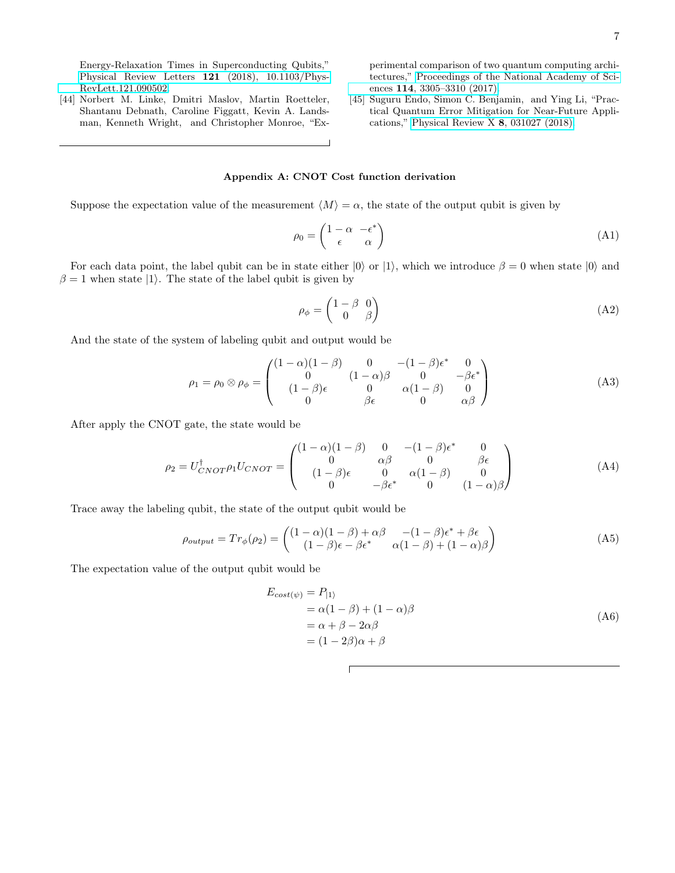Energy-Relaxation Times in Superconducting Qubits," [Physical Review Letters](http://dx.doi.org/10.1103/PhysRevLett.121.090502) 121 (2018), 10.1103/Phys-[RevLett.121.090502.](http://dx.doi.org/10.1103/PhysRevLett.121.090502)

<span id="page-6-1"></span>[44] Norbert M. Linke, Dmitri Maslov, Martin Roetteler, Shantanu Debnath, Caroline Figgatt, Kevin A. Landsman, Kenneth Wright, and Christopher Monroe, "Experimental comparison of two quantum computing architectures," [Proceedings of the National Academy of Sci](http://dx.doi.org/10.1073/PNAS.1618020114)ences 114[, 3305–3310 \(2017\).](http://dx.doi.org/10.1073/PNAS.1618020114)

<span id="page-6-2"></span>[45] Suguru Endo, Simon C. Benjamin, and Ying Li, "Practical Quantum Error Mitigation for Near-Future Applications," [Physical Review X](http://dx.doi.org/ 10.1103/PhysRevX.8.031027) 8, 031027 (2018).

# <span id="page-6-0"></span>Appendix A: CNOT Cost function derivation

Suppose the expectation value of the measurement  $\langle M \rangle = \alpha$ , the state of the output qubit is given by

$$
\rho_0 = \begin{pmatrix} 1 - \alpha & -\epsilon^* \\ \epsilon & \alpha \end{pmatrix} \tag{A1}
$$

For each data point, the label qubit can be in state either  $|0\rangle$  or  $|1\rangle$ , which we introduce  $\beta = 0$  when state  $|0\rangle$  and  $\beta = 1$  when state  $|1\rangle$ . The state of the label qubit is given by

$$
\rho_{\phi} = \begin{pmatrix} 1 - \beta & 0 \\ 0 & \beta \end{pmatrix} \tag{A2}
$$

And the state of the system of labeling qubit and output would be

$$
\rho_1 = \rho_0 \otimes \rho_\phi = \begin{pmatrix} (1 - \alpha)(1 - \beta) & 0 & -(1 - \beta)\epsilon^* & 0 \\ 0 & (1 - \alpha)\beta & 0 & -\beta\epsilon^* \\ (1 - \beta)\epsilon & 0 & \alpha(1 - \beta) & 0 \\ 0 & \beta\epsilon & 0 & \alpha\beta \end{pmatrix}
$$
(A3)

After apply the CNOT gate, the state would be

$$
\rho_2 = U_{CNOT}^{\dagger} \rho_1 U_{CNOT} = \begin{pmatrix} (1 - \alpha)(1 - \beta) & 0 & -(1 - \beta)\epsilon^* & 0\\ 0 & \alpha\beta & 0 & \beta\epsilon\\ (1 - \beta)\epsilon & 0 & \alpha(1 - \beta) & 0\\ 0 & -\beta\epsilon^* & 0 & (1 - \alpha)\beta \end{pmatrix}
$$
(A4)

Trace away the labeling qubit, the state of the output qubit would be

$$
\rho_{output} = Tr_{\phi}(\rho_2) = \begin{pmatrix} (1 - \alpha)(1 - \beta) + \alpha\beta & -(1 - \beta)\epsilon^* + \beta\epsilon \\ (1 - \beta)\epsilon - \beta\epsilon^* & \alpha(1 - \beta) + (1 - \alpha)\beta \end{pmatrix}
$$
(A5)

The expectation value of the output qubit would be

$$
E_{cost(\psi)} = P_{|1\rangle}
$$
  
=  $\alpha(1 - \beta) + (1 - \alpha)\beta$   
=  $\alpha + \beta - 2\alpha\beta$   
=  $(1 - 2\beta)\alpha + \beta$  (A6)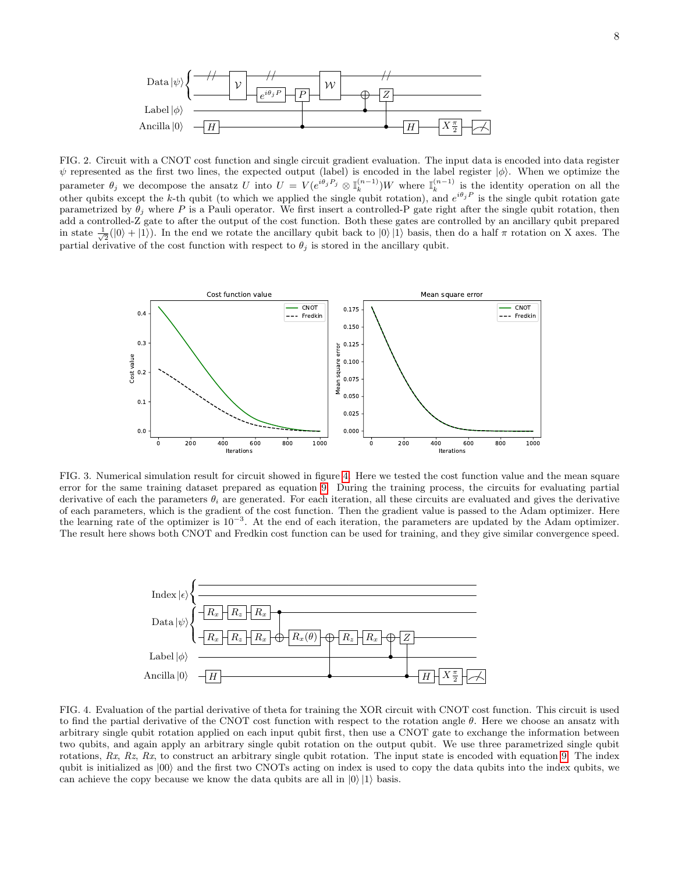

<span id="page-7-0"></span>FIG. 2. Circuit with a CNOT cost function and single circuit gradient evaluation. The input data is encoded into data register  $\psi$  represented as the first two lines, the expected output (label) is encoded in the label register  $|\phi\rangle$ . When we optimize the parameter  $\theta_j$  we decompose the ansatz U into  $U = V(e^{i\theta_j P_j} \otimes \mathbb{I}_k^{(n-1)})W$  where  $\mathbb{I}_k^{(n-1)}$  is the identity operation on all the other qubits except the k-th qubit (to which we applied the single qubit rotation), and  $e^{i\theta_j P}$  is the single qubit rotation gate parametrized by  $\theta_j$  where P is a Pauli operator. We first insert a controlled-P gate right after the single qubit rotation, then add a controlled-Z gate to after the output of the cost function. Both these gates are controlled by an ancillary qubit prepared in state  $\frac{1}{\sqrt{2}}(|0\rangle + |1\rangle)$ . In the end we rotate the ancillary qubit back to  $|0\rangle |1\rangle$  basis, then do a half  $\pi$  rotation on X axes. The partial derivative of the cost function with respect to  $\theta_j$  is stored in the ancillary qubit.



<span id="page-7-2"></span>FIG. 3. Numerical simulation result for circuit showed in figure [4.](#page-7-1) Here we tested the cost function value and the mean square error for the same training dataset prepared as equation [9.](#page-3-0) During the training process, the circuits for evaluating partial derivative of each the parameters  $\theta_i$  are generated. For each iteration, all these circuits are evaluated and gives the derivative of each parameters, which is the gradient of the cost function. Then the gradient value is passed to the Adam optimizer. Here the learning rate of the optimizer is  $10^{-3}$ . At the end of each iteration, the parameters are updated by the Adam optimizer. The result here shows both CNOT and Fredkin cost function can be used for training, and they give similar convergence speed.



<span id="page-7-1"></span>FIG. 4. Evaluation of the partial derivative of theta for training the XOR circuit with CNOT cost function. This circuit is used to find the partial derivative of the CNOT cost function with respect to the rotation angle  $\theta$ . Here we choose an ansatz with arbitrary single qubit rotation applied on each input qubit first, then use a CNOT gate to exchange the information between two qubits, and again apply an arbitrary single qubit rotation on the output qubit. We use three parametrized single qubit rotations,  $Rx$ ,  $Rz$ ,  $Rx$ , to construct an arbitrary single qubit rotation. The input state is encoded with equation [9.](#page-3-0) The index qubit is initialized as  $|00\rangle$  and the first two CNOTs acting on index is used to copy the data qubits into the index qubits, we can achieve the copy because we know the data qubits are all in  $|0\rangle|1\rangle$  basis.